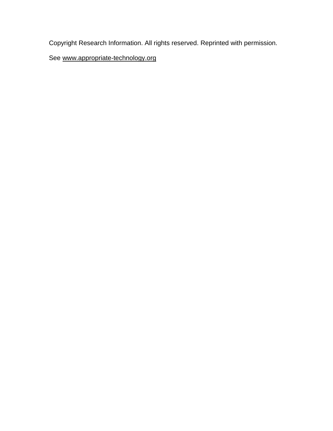Copyright Research Information. All rights reserved. Reprinted with permission.

See [www.appropriate-technology.org](http://www.appropriate-technology.org/)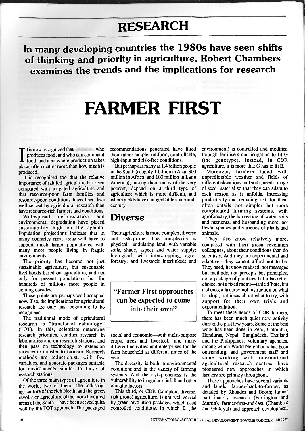## **RESEARCH**

**In many developing countries the** 1980s **have seen shifts of thinking and** priority **in agriculture. Eobert Chambers examines the** trends **and the implications for research** 

# **FARMER** FIRST

I tis now recognized that who<br>produces food, and who can command<br>food, and also where production takes<br>place, often matter more than how much is t is now recognized that who<br>produces food, and who can command produced.

It is recognised too that the relative importance of rainfed agriculture has risen compared with irrigated agriculture and that resource-poor farm families and resource-poor conditions have been less well served by agricultural research than have resource-rich farmers and conditions.

Widespread deforestation and environmental degradation have placed sustainability high on the agenda. Population projections indicate that in many countries rural areas will have to support much larger populations, with many more people living in fragile environments.

The priority has become not just sustainable agriculture, but sustainable Iivelihoods based on agriculture, and not only for present populations but for only for problem populations out for nunctus of mimons more people in coming decades.<br>These points are perhaps well accepted

now. If so, the implications for agricultural  $\mathbf{w}$ ,  $\mathbf{u}$  so,  $\mathbf{u}$  in producing we agricultural now. If you are in the input of the interest in the interest of the interest of the interest of the interest o recognised.<br>The traditional mode of agricultural

research is "transfer-of-technology"  $T_{\text{max}}$  mailsiel-of-technology  $(101)$ . In this, scientists determine research priorities, conduct research in laboratories and on research stations, and then pass on technology to extension services to transfer to farmers. Research methods are reductionist, with few variables, and generate packages suitable for environments similar to those of research stations.

Of the three main types of agriculture in the world, two of them-the industrial agriculture of the rich North, and the green revolution agriculture of the more favoured areas of the South-have been served quite well by the TOT approach. The packaged

recommendations generated have fitted their rather simple, uniform, controllable, high-input and risk-free conditions.

But perhaps as many as 1.4 billion people in the South (roughly 1 billion in Asia, 300 million in Africa, and 100 million in Latin America), among them many of the very poorest, depend on a third type of agriculture which is more difficult, and where yields have changed little since midcentury.

## **Diverse**

Their agriculture is more complex, diverse and risk-prone. The complexity is physical—undulating land, with variable soils, shade, aspect and water supply; biological—with intercropping, agroforestry, and livestock interlinked; and

**"Farmer First approaches can be expected to come into their own"** 

social and economic—with multi-purpose crops, trees and livestock, and many different activities and enterprises for the farm household at different times of the year.

The diversity is both in environmental conditions and in the variety of farming systems. And the risk-proneness is the vulnerability to irregular rainfall and other climatic factors.

This third, or CDR (complex, diverse, risk-prone) agriculture, is not well served by green revolution packages which need controlled conditions, in which E (the environment) is controlled and modified through fertilisers and irrigation to fit G (the genotype). Instead, in CDR agriculture, it is more that G has to fit E.

Moreover, farmers faced with unpredictable weather and fields of different elevations and soils, need a range of seed material so that they can adapt to each season as it unfolds. Increasing productivity and reducing risk for them often entails not simpler but more complicated farming systems, with agroforestry, the harvesting of water, soils and nutrients, and husbanding more, not fewer, species and varieties of plants and animals.

They also know relatively more, compared with their green revolution colleagues, about their conditions than do scientists. And they are experimental and adaptive—they cannot afford not to be. They need, it is now realised, not messages but methods, not precepts but principles, not a package of practices but a basket of choice, not a fixed menu—table d'hote, but a choice, a la carte; not instruction on what to adopt, but ideas about what to try, with support for their own trials and experimentation.

To meet these needs of CDR farmers, there has been much quiet new activity during the past few years. Some of the best work has been done in Peru, Colombia, Honduras, Nepal, Bangladesh, Thailand and the Philippines. Voluntary agencies, among which World Neighbours has been outstanding, and government staff and some working with international agricultural research centres, have pioneered new approaches in which farmers are primary throughout.

These approaches have several variants and labels—farmer-back-to-farmer, as detailed by Rhoades and Booth; farmer participatory research (Farrington and Martin), farmer-first-and-last (Chambers and Ghildyal) and approach development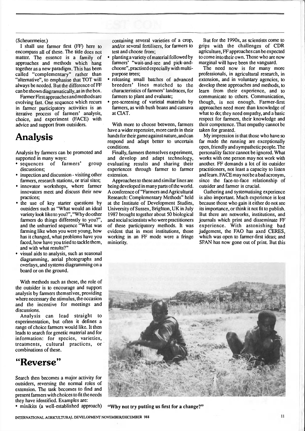#### (Scheuermeier.)

I shall use farmer first (FF) here to encompass all of these. The title does not matter. The essence is a family of approaches and methods which hang together as a new paradigm. This has been called "complementary" rather than "alternative", to emphasise that TOT will always be needed. But the difference of FF can be shown diagramatically, as in the box.

Farmer First approaches and methods are evolving fast. One sequence which recurs in farmer participatory activities is an iterative process of farmers' analysis, choice, and experiment (FACE) with advice and support from outsiders.

### **Analysis**

Analysis by farmers can be promoted and supported in many ways:

- sequences of farmers' group discussions;
- inspection and discussion visiting other farmers, research stations, or trial sites;
- innovator workshops, where farmer innovators meet and discuss their new practices;
- the use of key starter questions by outsiders such as "What would an ideal variety look like to you?", "Why do other farmers do things differently to you?", and the unhurried sequence "What was farming like when you were young, how has it changed, what problems have you faced, how have you tried to tackle them, and with what results?"
- visual aids to analysis, such as seasonal diagramming, aerial photographs and overlays, and systems diagramming on a board or on the ground.

With methods such as these, the role of the outsider is to encourage and support analysis by farmers themselves, providing where necessary the stimulus, the occasion and the incentive for meetings and discussions.

Analysis can lead straight to experimentation, but often it defines a range of choice farmers would like. It then leads to search for genetic material and for information: for species, varieties, treatments, cultural practices, or combinations of these.

**"Reverse"** 

Search then becomes a major activity for outsiders, reversing the normal roles of extension. The task becomes to find and present farmers with choices to fit the needs they have identified. Examples are:

containing several varieties of a crop, and/or several fertilisers, for farmers to test and choose from;

- planting a variety of material followed by farmers' "wait-and-see and pick-andchoose", practised especially with multipurpose trees;
- releasing small batches of advanced breeders' lines matched to the characteristics of farmers' landraces, for farmers to plant and evaluate;
- pre-screening of varietal materials by farmers, as with bush beans and cassava at CIAT.

With more to choose between, farmers have a wider repertoire, more cards in their hands for their game against nature, and can respond and adapt better to uncertain conditions.

Finally, farmers themselves experiment, and develop and adapt technology, evaluating results and sharing their experiences through farmer to farmer extension.

Approaches to these and similar lines are being developed in many parts of the world. A conference of "Farmers and Agricultural Research: Complementary Methods" held at the Institute of Development Studies, University of Sussex, Brighton, UK in July 1987 brought together about 50 biological and social scientists who were practitioners of these participatory methods. It was evident that in most institutions, those working in an FF mode were a fringe miniority.

But for the 1990s, as scientists come to grips with the challenges of CDR agriculture, FF approaches can be expected to come into their own. Those who are now marginal will have been the vanguard.

The need now is for many more professionals, in agricultural research, in extension, and in voluntary agencies, to develop these approaches and methods, to learn from their experience, and to communicate to others. Communication, though, is not enough. Farmer-first approaches need more than knowledge of what to do; they need empathy, and a basic respect for farmers, their knowledge and their competence. That empathy cannot be taken for granted.

My impression is that those who have so far made the running are exceptionally open, friendly and sympathetic people. The personality factor cannot be ignored. What works with one person may not work with another. FF demands a lot of its outsider practitioners, not least a capacity to listen and learn. FACE may not be a bad acronym, since the face-to-face relationship of outsider and farmer is crucial.

Gathering and systematising experience is also important. Much experience is lost because those who gain it either do not see its importance, or think it not fit to publish. But there are networks, institutions, and journals which print and disseminate FF experience. With astonishing bad judgement, the FAO has axed CERES, which was open to farmer-first ideas; and SPAN has now gone out of print. But this



• minikits (a well-established approach) "Why not try putting us first for a change?"